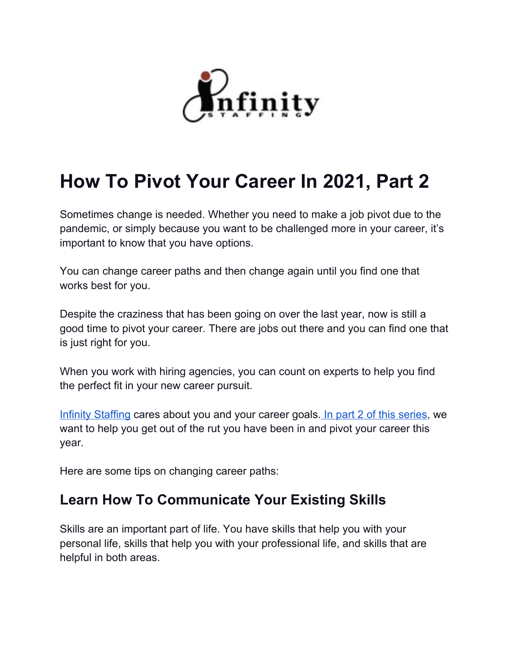

# **How To Pivot Your Career In 2021, Part 2**

Sometimes change is needed. Whether you need to make a job pivot due to the pandemic, or simply because you want to be challenged more in your career, it's important to know that you have options.

You can change career paths and then change again until you find one that works best for you.

Despite the craziness that has been going on over the last year, now is still a good time to pivot your career. There are jobs out there and you can find one that is just right for you.

When you work with hiring agencies, you can count on experts to help you find the perfect fit in your new career pursuit.

Infinity [Staffing](https://infinity-staffing.biz/employment-agency/) cares about you and your career goals. In part 2 of this [series](https://infinity-staffing.biz/blog/employee-hiring-and-retention/how-pivot-career-2021/), we want to help you get out of the rut you have been in and pivot your career this year.

Here are some tips on changing career paths:

### **Learn How To Communicate Your Existing Skills**

Skills are an important part of life. You have skills that help you with your personal life, skills that help you with your professional life, and skills that are helpful in both areas.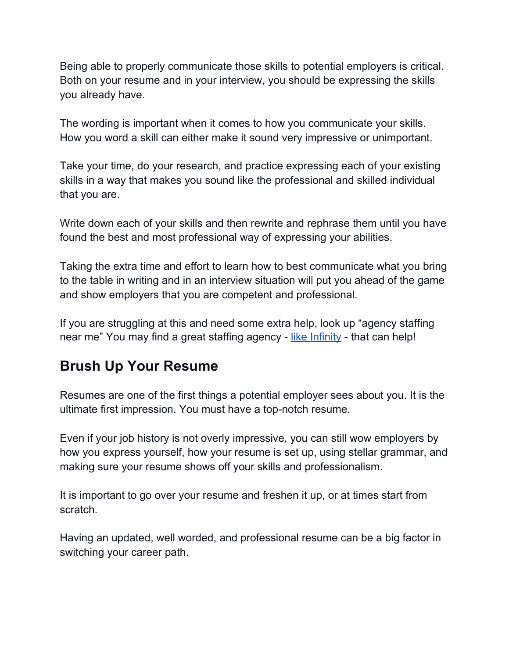Being able to properly communicate those skills to potential employers is critical. Both on your resume and in your interview, you should be expressing the skills you already have.

The wording is important when it comes to how you communicate your skills. How you word a skill can either make it sound very impressive or unimportant.

Take your time, do your research, and practice expressing each of your existing skills in a way that makes you sound like the professional and skilled individual that you are.

Write down each of your skills and then rewrite and rephrase them until you have found the best and most professional way of expressing your abilities.

Taking the extra time and effort to learn how to best communicate what you bring to the table in writing and in an interview situation will put you ahead of the game and show employers that you are competent and professional.

If you are struggling at this and need some extra help, look up "agency staffing near me" You may find a great staffing agency - like [Infinity](https://infinity-staffing.biz/employment-agency/) - that can help!

### **Brush Up Your Resume**

Resumes are one of the first things a potential employer sees about you. It is the ultimate first impression. You must have a top-notch resume.

Even if your job history is not overly impressive, you can still wow employers by how you express yourself, how your resume is set up, using stellar grammar, and making sure your resume shows off your skills and professionalism.

It is important to go over your resume and freshen it up, or at times start from scratch.

Having an updated, well worded, and professional resume can be a big factor in switching your career path.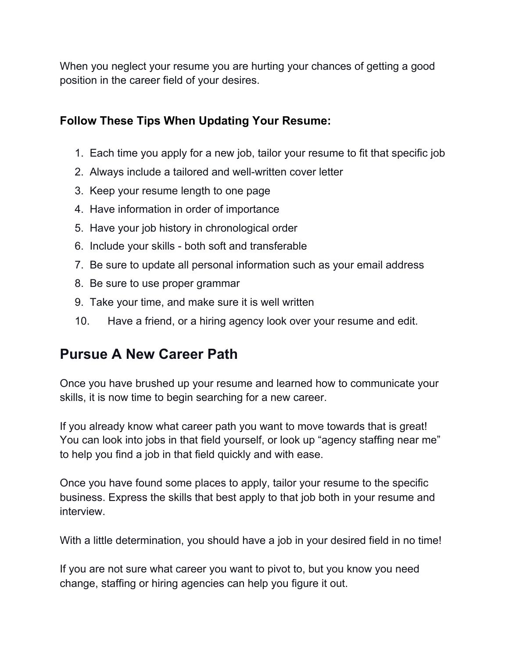When you neglect your resume you are hurting your chances of getting a good position in the career field of your desires.

### **Follow These Tips When Updating Your Resume:**

- 1. Each time you apply for a new job, tailor your resume to fit that specific job
- 2. Always include a tailored and well-written cover letter
- 3. Keep your resume length to one page
- 4. Have information in order of importance
- 5. Have your job history in chronological order
- 6. Include your skills both soft and transferable
- 7. Be sure to update all personal information such as your email address
- 8. Be sure to use proper grammar
- 9. Take your time, and make sure it is well written
- 10. Have a friend, or a hiring agency look over your resume and edit.

## **Pursue A New Career Path**

Once you have brushed up your resume and learned how to communicate your skills, it is now time to begin searching for a new career.

If you already know what career path you want to move towards that is great! You can look into jobs in that field yourself, or look up "agency staffing near me" to help you find a job in that field quickly and with ease.

Once you have found some places to apply, tailor your resume to the specific business. Express the skills that best apply to that job both in your resume and interview.

With a little determination, you should have a job in your desired field in no time!

If you are not sure what career you want to pivot to, but you know you need change, staffing or hiring agencies can help you figure it out.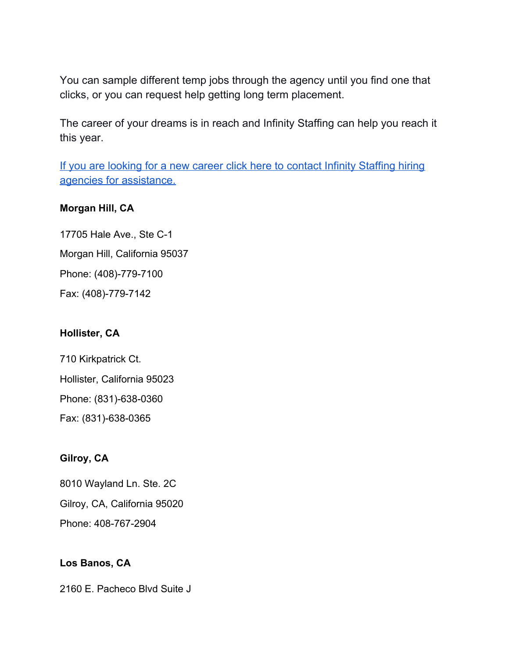You can sample different temp jobs through the agency until you find one that clicks, or you can request help getting long term placement.

The career of your dreams is in reach and Infinity Staffing can help you reach it this year.

If you are looking for a new career click here to contact Infinity [Staffing](https://infinity-staffing.biz/contact/) hiring agencies for [assistance.](https://infinity-staffing.biz/contact/)

#### **Morgan Hill, CA**

17705 Hale Ave., Ste C-1 Morgan Hill, California 95037 Phone: (408)-779-7100 Fax: (408)-779-7142

#### **Hollister, CA**

710 Kirkpatrick Ct. Hollister, California 95023 Phone: (831)-638-0360 Fax: (831)-638-0365

### **Gilroy, CA**

8010 Wayland Ln. Ste. 2C

Gilroy, CA, California 95020

Phone: 408-767-2904

### **Los Banos, CA**

2160 E. Pacheco Blvd Suite J